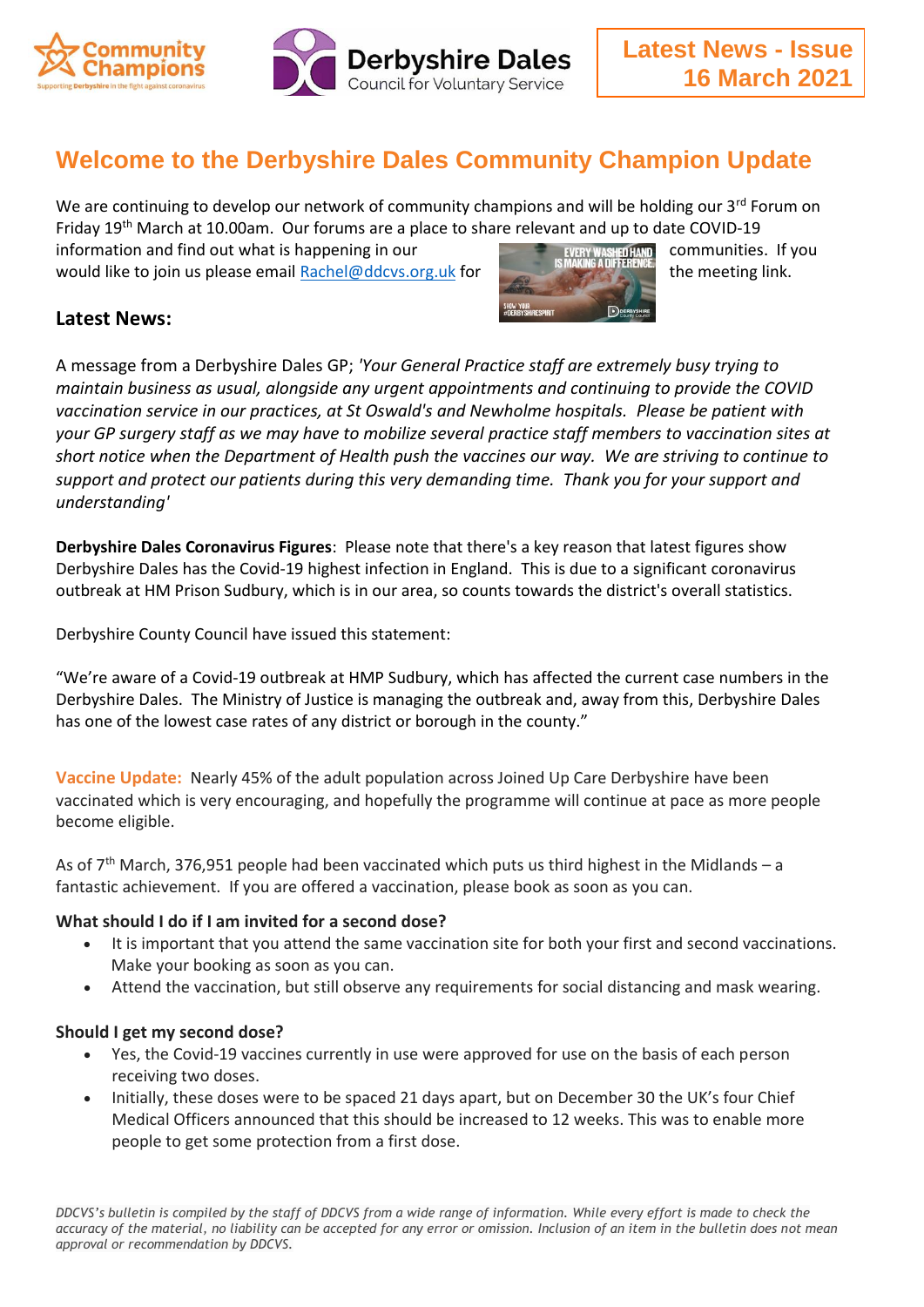

# **Welcome to the Derbyshire Dales Community Champion Update**

We are continuing to develop our network of community champions and will be holding our 3<sup>rd</sup> Forum on Friday 19th March at 10.00am. Our forums are a place to share relevant and up to date COVID-19

information and find out what is happening in our **communities.** If you would like to join us please email [Rachel@ddcvs.org.uk](mailto:Rachel@ddcvs.org.uk) for the meeting link.



## **Latest News:**

A message from a Derbyshire Dales GP; *'Your General Practice staff are extremely busy trying to maintain business as usual, alongside any urgent appointments and continuing to provide the COVID vaccination service in our practices, at St Oswald's and Newholme hospitals. Please be patient with your GP surgery staff as we may have to mobilize several practice staff members to vaccination sites at short notice when the Department of Health push the vaccines our way. We are striving to continue to support and protect our patients during this very demanding time. Thank you for your support and understanding'*

**Derbyshire Dales Coronavirus Figures**: Please note that there's a key reason that latest figures show Derbyshire Dales has the Covid-19 highest infection in England. This is due to a significant coronavirus outbreak at HM Prison Sudbury, which is in our area, so counts towards the district's overall statistics.

Derbyshire County Council have issued this statement:

"We're aware of a Covid-19 outbreak at HMP Sudbury, which has affected the current case numbers in the Derbyshire Dales. The Ministry of Justice is managing the outbreak and, away from this, Derbyshire Dales has one of the lowest case rates of any district or borough in the county."

**Vaccine Update:** Nearly 45% of the adult population across Joined Up Care Derbyshire have been vaccinated which is very encouraging, and hopefully the programme will continue at pace as more people become eligible.

As of  $7<sup>th</sup>$  March, 376,951 people had been vaccinated which puts us third highest in the Midlands – a fantastic achievement. If you are offered a vaccination, please book as soon as you can.

### **What should I do if I am invited for a second dose?**

- It is important that you attend the same vaccination site for both your first and second vaccinations. Make your booking as soon as you can.
- Attend the vaccination, but still observe any requirements for social distancing and mask wearing.

#### **Should I get my second dose?**

- Yes, the Covid-19 vaccines currently in use were approved for use on the basis of each person receiving two doses.
- Initially, these doses were to be spaced 21 days apart, but on December 30 the UK's four Chief Medical Officers announced that this should be increased to 12 weeks. This was to enable more people to get some protection from a first dose.